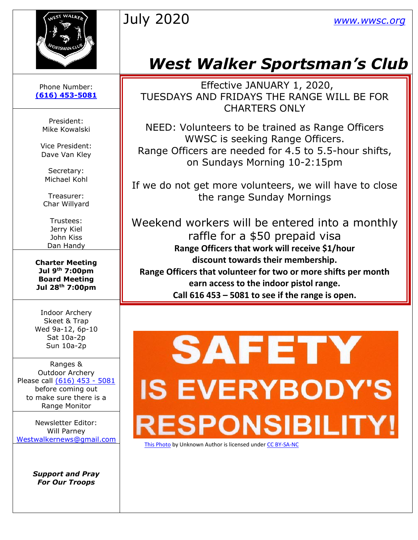



#### Phone Number: **[\(616\) 453-5081](https://d.docs.live.net/100b2af0d7ad2324/Documents/wwsc%20newsletters%202019/docx/616)%20453-5081)**

President: Mike Kowalski

Vice President: Dave Van Kley

Secretary: Michael Kohl

Treasurer: Char Willyard

Trustees: Jerry Kiel John Kiss Dan Handy

**Charter Meeting Jul 9th 7:00pm Board Meeting Jul 28th 7:00pm**

Indoor Archery Skeet & Trap Wed 9a-12, 6p-10 Sat 10a-2p Sun 10a-2p

Ranges & Outdoor Archery Please call [\(616\) 453 -](https://d.docs.live.net/100b2af0d7ad2324/Documents/wwsc%20newsletters%202019/docx/616)%20453-5081) 5081 before coming out to make sure there is a Range Monitor

Newsletter Editor: Will Parney [Westwalkernews@gmail.com](mailto:Westwalkernews@gmail.com)

> *Support and Pray For Our Troops*

# *West Walker Sportsman's Club*

Effective JANUARY 1, 2020, TUESDAYS AND FRIDAYS THE RANGE WILL BE FOR CHARTERS ONLY

NEED: Volunteers to be trained as Range Officers WWSC is seeking Range Officers. Range Officers are needed for 4.5 to 5.5-hour shifts, on Sundays Morning 10-2:15pm

If we do not get more volunteers, we will have to close the range Sunday Mornings

Weekend workers will be entered into a monthly raffle for a \$50 prepaid visa **Range Officers that work will receive \$1/hour discount towards their membership. Range Officers that volunteer for two or more shifts per month earn access to the indoor pistol range. Call 616 453 – 5081 to see if the range is open.**

# **SAFETY IS EVERYBODY'S ESPONSIBILI**

[This Photo](http://flickr.com/photos/thevoicewithin/432574750) by Unknown Author is licensed unde[r CC BY-SA-NC](https://creativecommons.org/licenses/by-nc-sa/3.0/)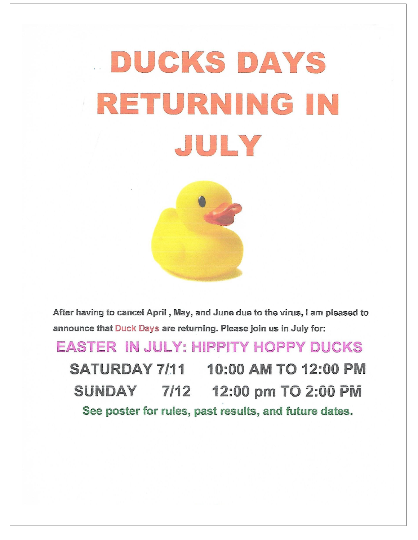# DUCKS DAYS RETURNING IN JULY



After having to cancel April, May, and June due to the virus, I am pleased to announce that Duck Days are returning. Please join us in July for:

**EASTER IN JULY: HIPPITY HOPPY DUCKS** SATURDAY 7/11 10:00 AM TO 12:00 PM 7/12 12:00 pm TO 2:00 PM **SUNDAY** See poster for rules, past results, and future dates.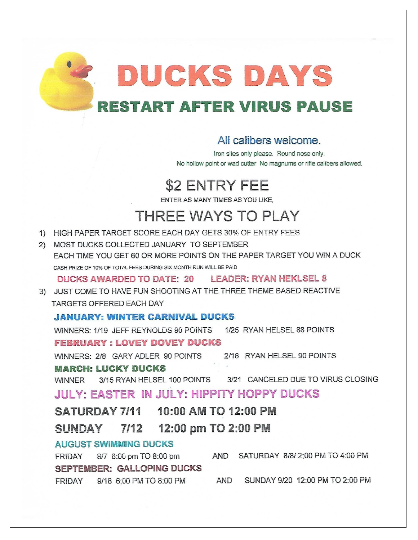DUCKS DAYS **RESTART AFTER VIRUS PAUSE** 

#### All calibers welcome.

Iron sites only please. Round nose only. No hollow point or wad cutter No magnums or rifle calibers allowed.

# **\$2 ENTRY FEE**

ENTER AS MANY TIMES AS YOU LIKE,

# **THREE WAYS TO PLAY**

- 1) HIGH PAPER TARGET SCORE EACH DAY GETS 30% OF ENTRY FEES
- 2) MOST DUCKS COLLECTED JANUARY TO SEPTEMBER EACH TIME YOU GET 60 OR MORE POINTS ON THE PAPER TARGET YOU WIN A DUCK CASH PRIZE OF 10% OF TOTAL FEES DURING SIX MONTH RUN WILL BE PAID

DUCKS AWARDED TO DATE: 20 LEADER: RYAN HEKLSEL 8

3) JUST COME TO HAVE FUN SHOOTING AT THE THREE THEME BASED REACTIVE TARGETS OFFERED EACH DAY

#### **JANUARY: WINTER CARNIVAL DUCKS**

WINNERS: 1/19 JEFF REYNOLDS 90 POINTS 1/25 RYAN HELSEL 88 POINTS **FEBRUARY: LOVEY DOVEY DUCKS** 

WINNERS: 2/8 GARY ADLER 90 POINTS 2/16 RYAN HELSEL 90 POINTS

#### **MARCH: LUCKY DUCKS**

3/15 RYAN HELSEL 100 POINTS 3/21 CANCELED DUE TO VIRUS CLOSING **WINNER** 

#### **JULY: EASTER IN JULY: HIPPITY HOPPY DUCKS**

SATURDAY 7/11 10:00 AM TO 12:00 PM

#### 12:00 pm TO 2:00 PM 7/12 SUNDAY

#### **AUGUST SWIMMING DUCKS**

AND SATURDAY 8/8/2;00 PM TO 4:00 PM 8/7 6:00 pm TO 8:00 pm FRIDAY **SEPTEMBER: GALLOPING DUCKS** AND SUNDAY 9/20 12:00 PM TO 2:00 PM FRIDAY 9/18 6:00 PM TO 8:00 PM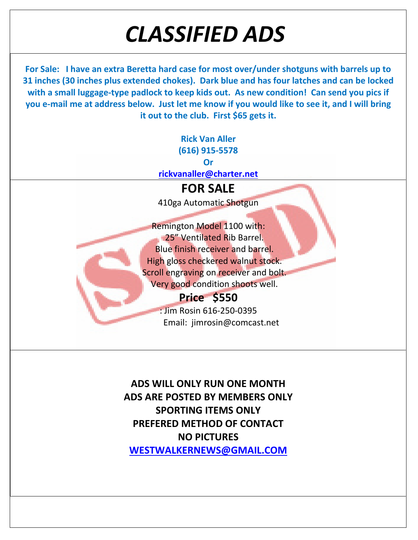# *CLASSIFIED ADS*

**For Sale: I have an extra Beretta hard case for most over/under shotguns with barrels up to 31 inches (30 inches plus extended chokes). Dark blue and has four latches and can be locked with a small luggage-type padlock to keep kids out. As new condition! Can send you pics if you e-mail me at address below. Just let me know if you would like to see it, and I will bring it out to the club. First \$65 gets it.**

> **Rick Van Aller (616) 915-5578 Or [rickvanaller@charter.net](mailto:rickvanaller@charter.net) FOR SALE**

> 410ga Automatic Shotgun

Remington Model 1100 with: 25" Ventilated Rib Barrel. Blue finish receiver and barrel. High gloss checkered walnut stock. Scroll engraving on receiver and bolt. Very good condition shoots well.

# **Price \$550**

: Jim Rosin 616-250-0395 Email: jimrosin@comcast.net

**ADS WILL ONLY RUN ONE MONTH ADS ARE POSTED BY MEMBERS ONLY SPORTING ITEMS ONLY PREFERED METHOD OF CONTACT NO PICTURES [WESTWALKERNEWS@GMAIL.COM](mailto:WESTWALKERNEWS@GMAIL.COM)**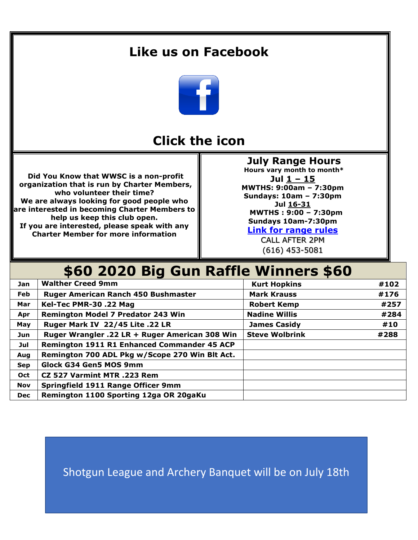### **Like us on Facebook**



### **Click the icon**

**Did You Know that WWSC is a non-profit organization that is run by Charter Members, who volunteer their time? We are always looking for good people who are interested in becoming Charter Members to help us keep this club open. If you are interested, please speak with any Charter Member for more information**

**July Range Hours Hours vary month to month\* Jul 1 – 15 MWTHS: 9:00am – 7:30pm Sundays: 10am – 7:30pm Jul 16-31 MWTHS : 9:00 – 7:30pm Sundays 10am-7:30pm**

**[Link for range rules](http://www.wwsc.org/img/ranges/RangeRules.pdf)**

CALL AFTER 2PM (616) 453-5081

## **\$60 2020 Big Gun Raffle Winners \$60**

| <b>Jan</b> | <b>Walther Creed 9mm</b>                       | <b>Kurt Hopkins</b>   | #102 |
|------------|------------------------------------------------|-----------------------|------|
| Feb        | <b>Ruger American Ranch 450 Bushmaster</b>     | <b>Mark Krauss</b>    | #176 |
| Mar        | Kel-Tec PMR-30 .22 Mag                         | <b>Robert Kemp</b>    | #257 |
| Apr        | Remington Model 7 Predator 243 Win             | <b>Nadine Willis</b>  | #284 |
| May        | Ruger Mark IV 22/45 Lite .22 LR                | <b>James Casidy</b>   | #10  |
| <b>Jun</b> | Ruger Wrangler .22 LR + Ruger American 308 Win | <b>Steve Wolbrink</b> | #288 |
| Jul        | Remington 1911 R1 Enhanced Commander 45 ACP    |                       |      |
| Aug        | Remington 700 ADL Pkg w/Scope 270 Win Blt Act. |                       |      |
| <b>Sep</b> | <b>Glock G34 Gen5 MOS 9mm</b>                  |                       |      |
| Oct        | CZ 527 Varmint MTR .223 Rem                    |                       |      |
| <b>Nov</b> | Springfield 1911 Range Officer 9mm             |                       |      |
| <b>Dec</b> | Remington 1100 Sporting 12ga OR 20gaKu         |                       |      |

Shotgun League and Archery Banquet will be on July 18th